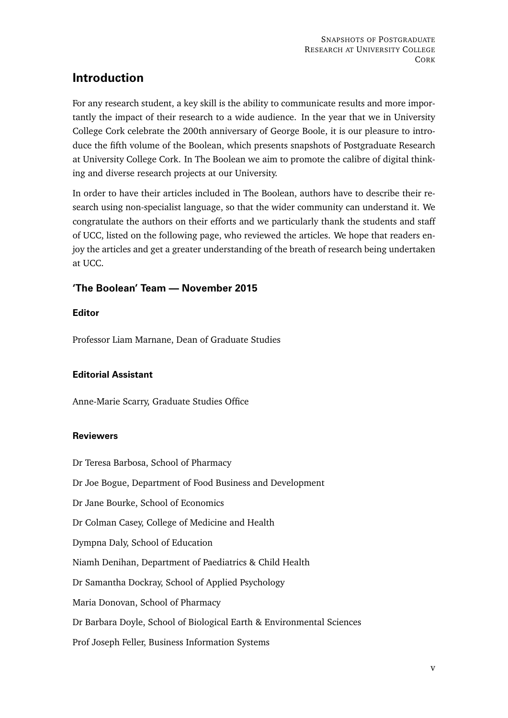# **Introduction**

For any research student, a key skill is the ability to communicate results and more importantly the impact of their research to a wide audience. In the year that we in University College Cork celebrate the 200th anniversary of George Boole, it is our pleasure to introduce the fifth volume of the Boolean, which presents snapshots of Postgraduate Research at University College Cork. In The Boolean we aim to promote the calibre of digital thinking and diverse research projects at our University.

In order to have their articles included in The Boolean, authors have to describe their research using non-specialist language, so that the wider community can understand it. We congratulate the authors on their efforts and we particularly thank the students and staff of UCC, listed on the following page, who reviewed the articles. We hope that readers enjoy the articles and get a greater understanding of the breath of research being undertaken at UCC.

## **'The Boolean' Team — November 2015**

### **Editor**

Professor Liam Marnane, Dean of Graduate Studies

#### **Editorial Assistant**

Anne-Marie Scarry, Graduate Studies Office

#### **Reviewers**

Dr Teresa Barbosa, School of Pharmacy

Dr Joe Bogue, Department of Food Business and Development

Dr Jane Bourke, School of Economics

Dr Colman Casey, College of Medicine and Health

Dympna Daly, School of Education

Niamh Denihan, Department of Paediatrics & Child Health

Dr Samantha Dockray, School of Applied Psychology

Maria Donovan, School of Pharmacy

Dr Barbara Doyle, School of Biological Earth & Environmental Sciences

Prof Joseph Feller, Business Information Systems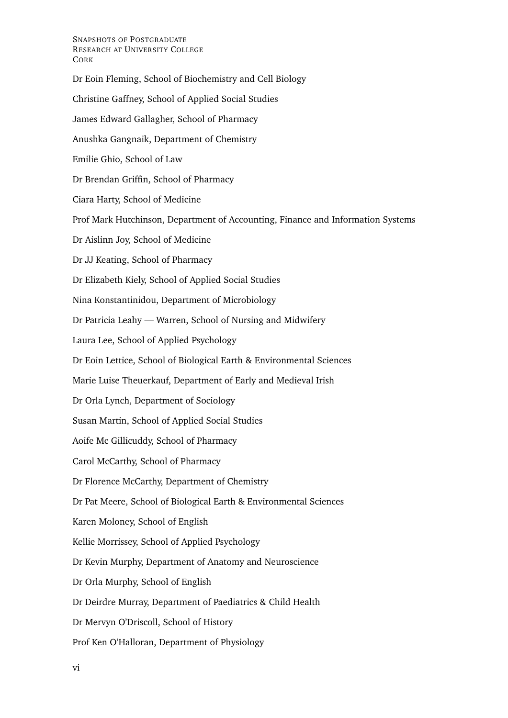#### SNAPSHOTS OF POSTGRADUATE RESEARCH AT UNIVERSITY COLLEGE **CORK**

Dr Eoin Fleming, School of Biochemistry and Cell Biology Christine Gaffney, School of Applied Social Studies James Edward Gallagher, School of Pharmacy Anushka Gangnaik, Department of Chemistry Emilie Ghio, School of Law Dr Brendan Griffin, School of Pharmacy Ciara Harty, School of Medicine Prof Mark Hutchinson, Department of Accounting, Finance and Information Systems Dr Aislinn Joy, School of Medicine Dr JJ Keating, School of Pharmacy Dr Elizabeth Kiely, School of Applied Social Studies Nina Konstantinidou, Department of Microbiology Dr Patricia Leahy — Warren, School of Nursing and Midwifery Laura Lee, School of Applied Psychology Dr Eoin Lettice, School of Biological Earth & Environmental Sciences Marie Luise Theuerkauf, Department of Early and Medieval Irish Dr Orla Lynch, Department of Sociology Susan Martin, School of Applied Social Studies Aoife Mc Gillicuddy, School of Pharmacy Carol McCarthy, School of Pharmacy Dr Florence McCarthy, Department of Chemistry Dr Pat Meere, School of Biological Earth & Environmental Sciences Karen Moloney, School of English Kellie Morrissey, School of Applied Psychology Dr Kevin Murphy, Department of Anatomy and Neuroscience Dr Orla Murphy, School of English Dr Deirdre Murray, Department of Paediatrics & Child Health Dr Mervyn O'Driscoll, School of History Prof Ken O'Halloran, Department of Physiology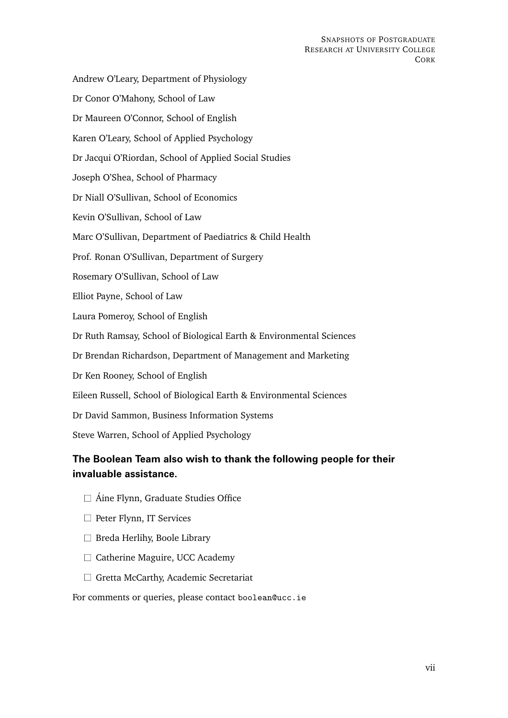Andrew O'Leary, Department of Physiology Dr Conor O'Mahony, School of Law Dr Maureen O'Connor, School of English Karen O'Leary, School of Applied Psychology Dr Jacqui O'Riordan, School of Applied Social Studies Joseph O'Shea, School of Pharmacy Dr Niall O'Sullivan, School of Economics Kevin O'Sullivan, School of Law Marc O'Sullivan, Department of Paediatrics & Child Health Prof. Ronan O'Sullivan, Department of Surgery Rosemary O'Sullivan, School of Law Elliot Payne, School of Law Laura Pomeroy, School of English Dr Ruth Ramsay, School of Biological Earth & Environmental Sciences Dr Brendan Richardson, Department of Management and Marketing Dr Ken Rooney, School of English Eileen Russell, School of Biological Earth & Environmental Sciences Dr David Sammon, Business Information Systems Steve Warren, School of Applied Psychology

# **The Boolean Team also wish to thank the following people for their invaluable assistance.**

- $\Box$  Áine Flynn, Graduate Studies Office
- $\Box$  Peter Flynn, IT Services
- $\Box$  Breda Herlihy, Boole Library
- $\Box$  Catherine Maguire, UCC Academy
- $\Box$  Gretta McCarthy, Academic Secretariat

For comments or queries, please contact boolean@ucc.ie